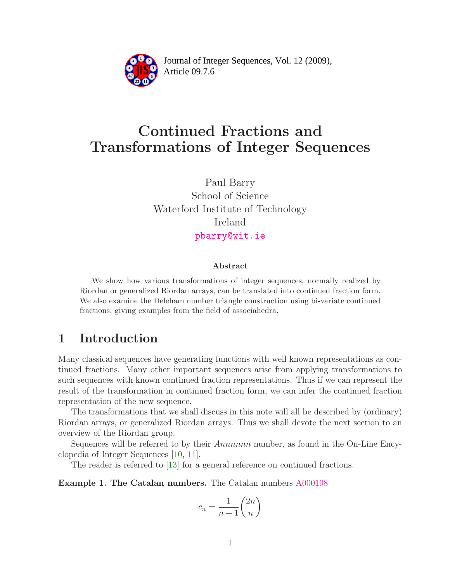

Article 09.7.6 **<sup>2</sup>** Journal of Integer Sequences, Vol. 12 (2009),

# Continued Fractions and Transformations of Integer Sequences

Paul Barry School of Science Waterford Institute of Technology Ireland [pbarry@wit.ie](mailto:pbarry@wit.ie)

#### Abstract

We show how various transformations of integer sequences, normally realized by Riordan or generalized Riordan arrays, can be translated into continued fraction form. We also examine the Deleham number triangle construction using bi-variate continued fractions, giving examples from the field of associahedra.

### 1 Introduction

Many classical sequences have generating functions with well known representations as continued fractions. Many other important sequences arise from applying transformations to such sequences with known continued fraction representations. Thus if we can represent the result of the transformation in continued fraction form, we can infer the continued fraction representation of the new sequence.

The transformations that we shall discuss in this note will all be described by (ordinary) Riordan arrays, or generalized Riordan arrays. Thus we shall devote the next section to an overview of the Riordan group.

Sequences will be referred to by their *Annnnnn* number, as found in the On-Line Encyclopedia of Integer Sequences [\[10,](#page-35-0) [11\]](#page-35-1).

The reader is referred to [\[13\]](#page-35-2) for a general reference on continued fractions.

Example 1. The Catalan numbers. The Catalan numbers [A000108](http://www.research.att.com/cgi-bin/access.cgi/as/~njas/sequences/eisA.cgi?Anum=A000108)

$$
c_n = \frac{1}{n+1} \binom{2n}{n}
$$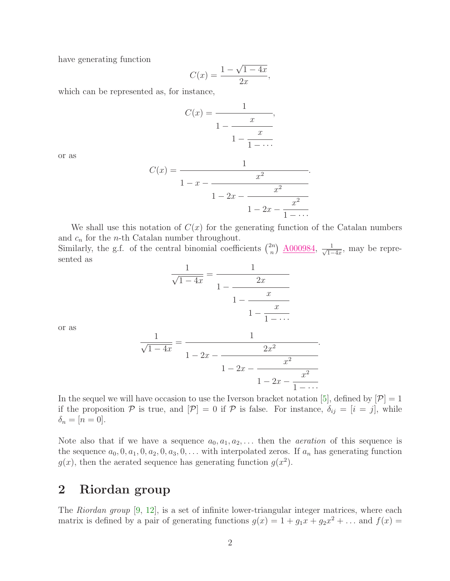have generating function

$$
C(x) = \frac{1 - \sqrt{1 - 4x}}{2x},
$$

which can be represented as, for instance,

$$
C(x) = \cfrac{1}{1 - \cfrac{x}{1 - \cfrac{x}{1 - \cdots}}},
$$

or as

$$
C(x) = \cfrac{1}{1 - x - \cfrac{x^2}{1 - 2x - \cfrac{x^2}{1 - \cdots}}}.
$$

We shall use this notation of  $C(x)$  for the generating function of the Catalan numbers and  $c_n$  for the *n*-th Catalan number throughout.

Similarly, the g.f. of the central binomial coefficients  $\binom{2n}{n}$  $\binom{2n}{n}$  <u>A000984</u>,  $\frac{1}{\sqrt{1-n}}$  $\frac{1}{1-4x}$ , may be represented as

$$
\frac{1}{\sqrt{1-4x}} = \frac{1}{1-\frac{2x}{1-\frac{x}{1-\frac{x}{1-\dots}}}}
$$

or as

$$
\frac{1}{\sqrt{1-4x}} = \frac{1}{1-2x-\frac{2x^2}{1-2x-\frac{x^2}{1-2x-\frac{x^2}{1-\cdots}}}}.
$$

In the sequel we will have occasion to use the Iverson bracket notation [\[5\]](#page-35-3), defined by  $[\mathcal{P}] = 1$ if the proposition P is true, and  $[\mathcal{P}] = 0$  if P is false. For instance,  $\delta_{ij} = [i = j]$ , while  $\delta_n = [n = 0].$ 

Note also that if we have a sequence  $a_0, a_1, a_2, \ldots$  then the *aeration* of this sequence is the sequence  $a_0, 0, a_1, 0, a_2, 0, a_3, 0, \ldots$  with interpolated zeros. If  $a_n$  has generating function  $g(x)$ , then the aerated sequence has generating function  $g(x^2)$ .

### 2 Riordan group

The Riordan group [\[9,](#page-35-4) [12\]](#page-35-5), is a set of infinite lower-triangular integer matrices, where each matrix is defined by a pair of generating functions  $g(x) = 1 + g_1 x + g_2 x^2 + \dots$  and  $f(x) =$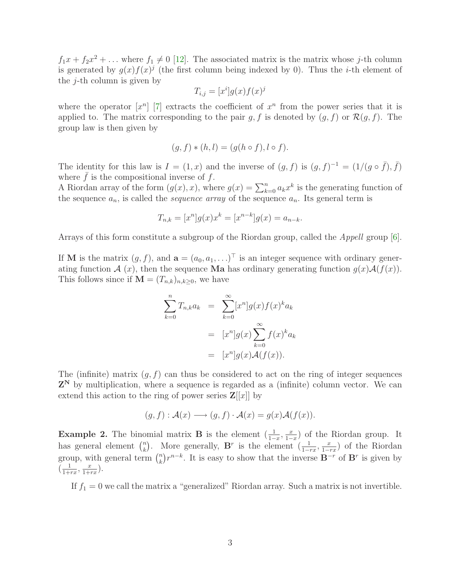$f_1x + f_2x^2 + \dots$  where  $f_1 \neq 0$  [\[12\]](#page-35-5). The associated matrix is the matrix whose j-th column is generated by  $g(x)f(x)^j$  (the first column being indexed by 0). Thus the *i*-th element of the  $j$ -th column is given by

$$
T_{i,j} = [x^i]g(x)f(x)^j
$$

where the operator  $[x^n]$  [\[7\]](#page-35-6) extracts the coefficient of  $x^n$  from the power series that it is applied to. The matrix corresponding to the pair g, f is denoted by  $(g, f)$  or  $\mathcal{R}(g, f)$ . The group law is then given by

$$
(g, f) * (h, l) = (g(h \circ f), l \circ f).
$$

The identity for this law is  $I = (1, x)$  and the inverse of  $(g, f)$  is  $(g, f)^{-1} = (1/(g \circ \bar{f}), \bar{f})$ where  $\bar{f}$  is the compositional inverse of f.

A Riordan array of the form  $(g(x), x)$ , where  $g(x) = \sum_{k=0}^{n} a_k x^k$  is the generating function of the sequence  $a_n$ , is called the *sequence array* of the sequence  $a_n$ . Its general term is

$$
T_{n,k} = [x^n]g(x)x^k = [x^{n-k}]g(x) = a_{n-k}.
$$

Arrays of this form constitute a subgroup of the Riordan group, called the Appell group [\[6\]](#page-35-7).

If **M** is the matrix  $(g, f)$ , and  $\mathbf{a} = (a_0, a_1, \ldots)^\top$  is an integer sequence with ordinary generating function  $\mathcal{A}(x)$ , then the sequence **Ma** has ordinary generating function  $g(x)\mathcal{A}(f(x))$ . This follows since if  $\mathbf{M} = (T_{n,k})_{n,k \geq 0}$ , we have

$$
\sum_{k=0}^{n} T_{n,k} a_k = \sum_{k=0}^{\infty} [x^n] g(x) f(x)^k a_k
$$

$$
= [x^n] g(x) \sum_{k=0}^{\infty} f(x)^k a_k
$$

$$
= [x^n] g(x) \mathcal{A}(f(x)).
$$

The (infinite) matrix  $(q, f)$  can thus be considered to act on the ring of integer sequences  $Z^N$  by multiplication, where a sequence is regarded as a (infinite) column vector. We can extend this action to the ring of power series  $\mathbf{Z}[[x]]$  by

$$
(g, f) : \mathcal{A}(x) \longrightarrow (g, f) \cdot \mathcal{A}(x) = g(x)\mathcal{A}(f(x)).
$$

**Example 2.** The binomial matrix **B** is the element  $\left(\frac{1}{1-x}, \frac{x}{1-x}\right)$  $\frac{x}{1-x}$  of the Riordan group. It has general element  $\binom{n}{k}$ <sup>n</sup><sub>k</sub>). More generally, **B**<sup>r</sup> is the element  $\left(\frac{1}{1-rx}, \frac{x}{1-r}\right)$  $\frac{x}{1-rx}$  of the Riordan group, with general term  $\binom{n}{k}$  $\mathbb{R}^n$ ) $r^{n-k}$ . It is easy to show that the inverse  $\mathbf{B}^{-r}$  of  $\mathbf{B}^r$  is given by  $\left(\frac{1}{1+i}\right)$  $\frac{1}{1+rx}, \frac{x}{1+y}$  $\frac{x}{1+rx}$ ).

If  $f_1 = 0$  we call the matrix a "generalized" Riordan array. Such a matrix is not invertible.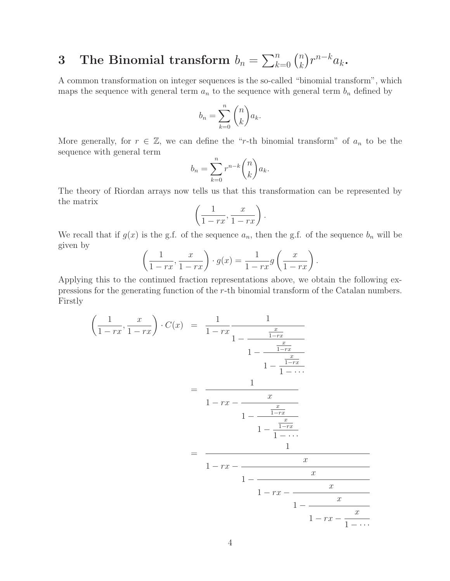#### 3 The Binomial transform  $b_n = \sum_{k=0}^n {n \choose k}$  $\binom{n}{k} r^{n-k} a_k$ .

A common transformation on integer sequences is the so-called "binomial transform", which maps the sequence with general term  $a_n$  to the sequence with general term  $b_n$  defined by

$$
b_n = \sum_{k=0}^n \binom{n}{k} a_k.
$$

More generally, for  $r \in \mathbb{Z}$ , we can define the "r-th binomial transform" of  $a_n$  to be the sequence with general term

$$
b_n = \sum_{k=0}^n r^{n-k} \binom{n}{k} a_k.
$$

The theory of Riordan arrays now tells us that this transformation can be represented by the matrix

$$
\left(\frac{1}{1-rx}, \frac{x}{1-rx}\right).
$$

We recall that if  $g(x)$  is the g.f. of the sequence  $a_n$ , then the g.f. of the sequence  $b_n$  will be given by

$$
\left(\frac{1}{1-rx}, \frac{x}{1-rx}\right) \cdot g(x) = \frac{1}{1-rx}g\left(\frac{x}{1-rx}\right).
$$

Applying this to the continued fraction representations above, we obtain the following expressions for the generating function of the r-th binomial transform of the Catalan numbers. Firstly

$$
\left(\frac{1}{1-rx}, \frac{x}{1-rx}\right) \cdot C(x) = \frac{1}{1-rx} \frac{1}{1-\frac{x}{1-rx}} \\
= \frac{1}{1-rx - \frac{x}{1-\frac{x}{1-rx}}}} \\
= \frac{1}{1-rx - \frac{x}{1-\frac{x}{1-\frac{x}{1-\frac{1}{1-\frac{1}{1-\frac{1}{1-\frac{1}{1-\frac{1}{1-\frac{1}{1-\frac{1}{1-\frac{1}{1-\frac{1}{1-\frac{1}{1-\frac{1}{1-\frac{1}{1-\frac{1}{1-\frac{1}{1-\frac{1}{1-\frac{1}{1-\frac{1}{1-\frac{1}{1-\frac{1}{1-\frac{1}{1-\frac{1}{1-\frac{1}{1-\frac{1}{1-\frac{1}{1-\frac{1}{1-\frac{1}{1-\frac{1}{1-\frac{1}{1-\frac{1}{1-\frac{1}{1-\frac{1}{1-\frac{1}{1-\frac{1}{1-\frac{1}{1-\frac{1}{1-\frac{1}{1-\frac{1}{1-\frac{1}{1-\frac{1}{1-\frac{1}{1-\frac{1}{1-\frac{1}{1-\frac{1}{1-\frac{1}{1-\frac{1}{1-\frac{1}{1-\frac{1}{1-\frac{1}{1-\frac{1}{1-\frac{1}{1-\frac{1}{1-\frac{1}{1-\frac{1}{1-\frac{1}{1-\frac{1}{1-\frac{1}{1-\frac{1}{1-\frac{1}{1-\frac{1}{1-\frac{1}{1-\frac{1}{1-\frac{1}{1-\frac{1}{1-\frac{1}{1-\frac{1}{1-\frac{1}{1-\frac{1}{1-\frac{1}{1-\frac{1}{1-\frac{1}{1-\frac{1}{1-\frac{1}{1-\frac{1}{1-\frac{1}{1-\frac{1}{1-\frac{1}{1-\frac{1}{1-\frac{1}{1-\frac{1}{1-\frac{1}{1-\frac{1}{1-\frac{1}{1-\frac{1}{1-\frac{1}{1-\frac{1}{1-\frac{1}{1-\frac{1}{1-\frac{1}{1-\frac{1}{1-\frac{1}{1-\frac{1}{1-\frac{1}{1-\frac{1}{1-\frac{1}{1-\frac{1}{1-\frac{1}{1-\frac{1}{1-\frac{1}{1-\frac{1}{1-\frac{1}{1-\frac{1}{1-\frac{1}{1-\frac{1}{1-\frac{1}{1-\frac{1}{1-\frac{1}{1-\frac{1}{1-\frac{1}{1-\frac{1}{1-\frac{1}{
$$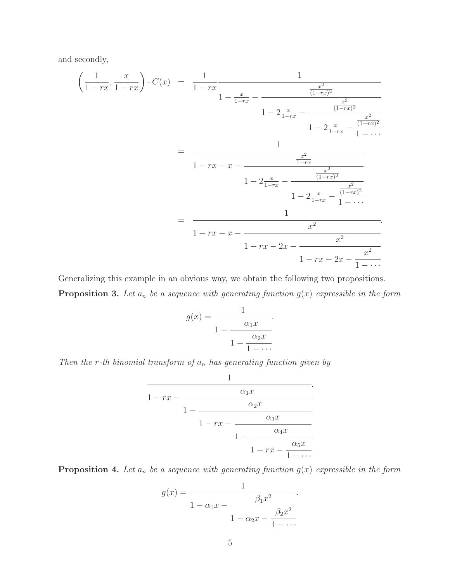and secondly,

$$
\left(\frac{1}{1-rx}, \frac{x}{1-rx}\right) \cdot C(x) = \frac{1}{1-rx} \frac{1}{1-\frac{x}{1-rx} - \frac{x^2}{(1-rx)^2}} \\
1 - 2\frac{x}{1-rx} - \frac{x^2}{(1-rx)^2}} \\
= \frac{1}{1-rx - x - \frac{x^2}{1-rx} - \frac{x^2}{(1-rx)^2}} \\
= \frac{1}{1-rx - x - \frac{x^2}{1-rx} - \frac{x^2}{(1-rx)^2}} \\
= \frac{1}{1-rx - x - \frac{x^2}{1-rx} - \frac{x^2}{(1-rx)^2}} \\
= \frac{1}{1-rx - 2x - \frac{x^2}{1-rx - 2x - \frac{x^2}{1-rx} - \frac{x^2}{1-rx}}}} \\
= \frac{1}{1-rx - 2x - \frac{x^2}{1-rx - 2x - \frac{x^2}{1-rx}}}
$$

Generalizing this example in an obvious way, we obtain the following two propositions.

**Proposition 3.** Let  $a_n$  be a sequence with generating function  $g(x)$  expressible in the form

$$
g(x) = \frac{1}{1 - \frac{\alpha_1 x}{1 - \frac{\alpha_2 x}{1 - \dots}}}.
$$

Then the r-th binomial transform of  $a_n$  has generating function given by

$$
\cfrac{1}{1-rx-\cfrac{\alpha_1x}{1-\cfrac{\alpha_2x}{1-\cfrac{\alpha_3x}{1-\cfrac{\alpha_4x}{1-\cfrac{\alpha_5x}{1-\cdots}}}}}}.
$$

**Proposition 4.** Let  $a_n$  be a sequence with generating function  $g(x)$  expressible in the form

$$
g(x) = \frac{1}{1 - \alpha_1 x - \frac{\beta_1 x^2}{1 - \alpha_2 x - \frac{\beta_2 x^2}{1 - \dots}}}.
$$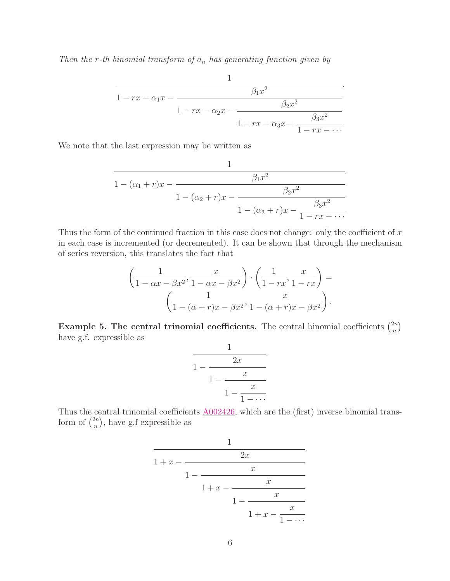Then the r-th binomial transform of  $a_n$  has generating function given by

$$
\cfrac{1}{1 - rx - \alpha_1 x - \cfrac{\beta_1 x^2}{1 - rx - \alpha_2 x - \cfrac{\beta_2 x^2}{1 - rx - \alpha_3 x - \cfrac{\beta_3 x^2}{1 - rx - \cdots}}}}.
$$

We note that the last expression may be written as

$$
\cfrac{1}{1-(\alpha_1+r)x-\cfrac{\beta_1x^2}{1-(\alpha_2+r)x-\cfrac{\beta_2x^2}{1-(\alpha_3+r)x-\cfrac{\beta_3x^2}{1-rx-\cdots}}}}.
$$

Thus the form of the continued fraction in this case does not change: only the coefficient of  $x$ in each case is incremented (or decremented). It can be shown that through the mechanism of series reversion, this translates the fact that

$$
\left(\frac{1}{1-\alpha x-\beta x^2}, \frac{x}{1-\alpha x-\beta x^2}\right) \cdot \left(\frac{1}{1-rx}, \frac{x}{1-rx}\right) = \left(\frac{1}{1-(\alpha+r)x-\beta x^2}, \frac{x}{1-(\alpha+r)x-\beta x^2}\right).
$$

**Example 5. The central trinomial coefficients.** The central binomial coefficients  $\binom{2n}{n}$  $\binom{2n}{n}$ have g.f. expressible as

$$
\cfrac{1}{1-\cfrac{2x}{1-\cfrac{x}{1-\cfrac{x}{1-\cdots}}}}.
$$

Thus the central trinomial coefficients  $A002426$ , which are the (first) inverse binomial transform of  $\binom{2n}{n}$  $\binom{2n}{n}$ , have g.f expressible as

$$
\cfrac{1}{1+x-\cfrac{2x}{1-\cfrac{x}{1+\cfrac{x}{1-\cfrac{x}{1+\cfrac{x}{1-\cdots}}}}}}.
$$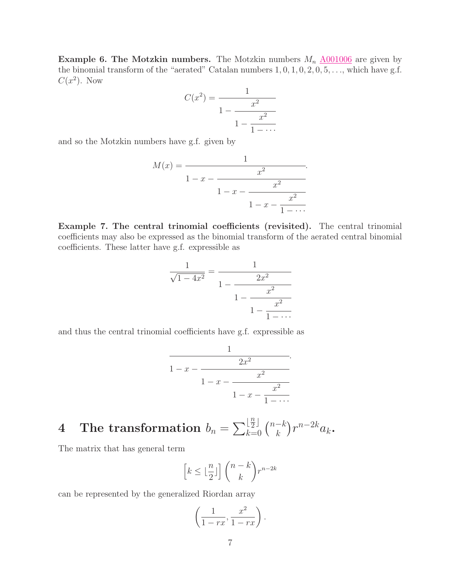**Example 6. The Motzkin numbers.** The Motzkin numbers  $M_n$   $\underline{\text{A}001006}$  are given by the binomial transform of the "aerated" Catalan numbers  $1, 0, 1, 0, 2, 0, 5, \ldots$ , which have g.f.  $C(x^2)$ . Now

$$
C(x^{2}) = \cfrac{1}{1 - \cfrac{x^{2}}{1 - \cfrac{x^{2}}{1 - \cdots}}}
$$

and so the Motzkin numbers have g.f. given by

$$
M(x) = \cfrac{1}{1 - x - \cfrac{x^2}{1 - x - \cfrac{x^2}{1 - \cdots}}}.
$$

Example 7. The central trinomial coefficients (revisited). The central trinomial coefficients may also be expressed as the binomial transform of the aerated central binomial coefficients. These latter have g.f. expressible as

$$
\frac{1}{\sqrt{1-4x^2}} = \frac{1}{1 - \frac{2x^2}{1 - \frac{x^2}{1 - \frac{x^2}{1 - \dots}}}}
$$

and thus the central trinomial coefficients have g.f. expressible as

$$
\cfrac{1}{1-x-\cfrac{2x^2}{1-x-\cfrac{x^2}{1-x-\cfrac{x^2}{1-\cdots}}}}.
$$

.

#### $\textbf{4} \quad \textbf{The transformation}\,\, b_n = \sum_{k=1}^n b_k \mathbf{1}_{\boldsymbol{\alpha}} \mathbf{1}_{\boldsymbol{\beta}}$ n  $\begin{bmatrix} \frac{n}{2} \\ k = 0 \end{bmatrix}$   $\begin{pmatrix} n-k \\ k \end{pmatrix}$  ${k\choose k} r^{n-2k} a_k$ .

The matrix that has general term

$$
\left[k \le \lfloor \frac{n}{2} \rfloor\right] \binom{n-k}{k} r^{n-2k}
$$

can be represented by the generalized Riordan array

$$
\left(\frac{1}{1-rx}, \frac{x^2}{1-rx}\right).
$$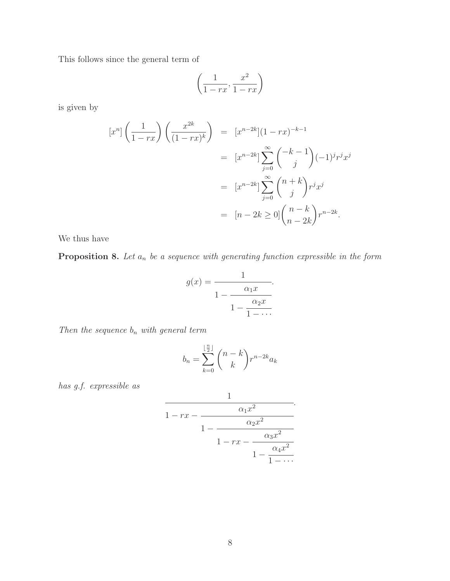This follows since the general term of

$$
\left(\frac{1}{1-rx}, \frac{x^2}{1-rx}\right)
$$

is given by

$$
[x^n] \left(\frac{1}{1-rx}\right) \left(\frac{x^{2k}}{(1-rx)^k}\right) = [x^{n-2k}](1-rx)^{-k-1}
$$

$$
= [x^{n-2k}] \sum_{j=0}^{\infty} {\binom{-k-1}{j}} (-1)^j r^j x^j
$$

$$
= [x^{n-2k}] \sum_{j=0}^{\infty} {\binom{n+k}{j}} r^j x^j
$$

$$
= [n-2k \ge 0] {\binom{n-k}{n-2k}} r^{n-2k}.
$$

We thus have

**Proposition 8.** Let  $a_n$  be a sequence with generating function expressible in the form

$$
g(x) = \frac{1}{1 - \frac{\alpha_1 x}{1 - \frac{\alpha_2 x}{1 - \dots}}}.
$$

Then the sequence  $b_n$  with general term

$$
b_n = \sum_{k=0}^{\lfloor \frac{n}{2} \rfloor} \binom{n-k}{k} r^{n-2k} a_k
$$

has g.f. expressible as

$$
\cfrac{1}{1-rx-\cfrac{\alpha_1x^2}{1-\cfrac{\alpha_2x^2}{1-rx-\cfrac{\alpha_3x^2}{1-\cfrac{\alpha_4x^2}{1-\cdots}}}}}.
$$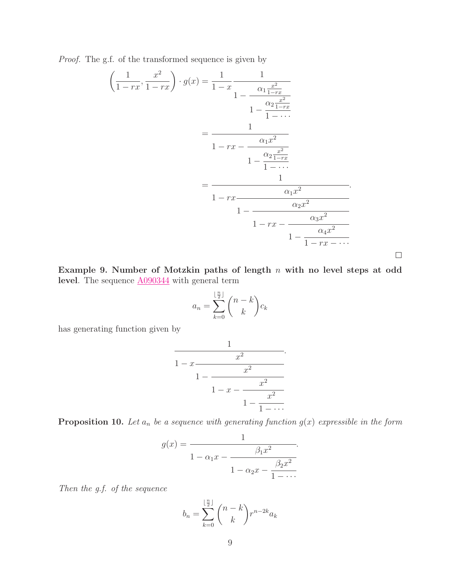Proof. The g.f. of the transformed sequence is given by

$$
\left(\frac{1}{1-rx}, \frac{x^2}{1-rx}\right) \cdot g(x) = \frac{1}{1-x} \frac{1}{1-\frac{\alpha_1 \frac{x^2}{1-rx}}{1-\frac{\alpha_2 \frac{x^2}{1-rx}}{1-\cdots}}}
$$
\n
$$
= \frac{1}{1-rx - \frac{\alpha_1 x^2}{1-\cdots}}
$$
\n
$$
= \frac{1}{1-rx - \frac{\alpha_2 \frac{x^2}{1-rx}}{1-\cdots}}
$$
\n
$$
= \frac{1}{1-rx - \frac{\alpha_2 x^2}{1-\cdots}}
$$
\n
$$
1 - \frac{\alpha_3 x^2}{1-\frac{\alpha_4 x^2}{1-\cdots}}
$$

Example 9. Number of Motzkin paths of length n with no level steps at odd level. The sequence  $\underline{\mathrm{A090344}}$  $\underline{\mathrm{A090344}}$  $\underline{\mathrm{A090344}}$  with general term

 $\Box$ 

$$
a_n = \sum_{k=0}^{\lfloor \frac{n}{2} \rfloor} \binom{n-k}{k} c_k
$$

has generating function given by

$$
\cfrac{1}{1-x-\cfrac{x^2}{1-\cfrac{x^2}{1-\cfrac{x^2}{1-\cfrac{x^2}{1-\cdots}}}}}.
$$

**Proposition 10.** Let  $a_n$  be a sequence with generating function  $g(x)$  expressible in the form

$$
g(x) = \frac{1}{1 - \alpha_1 x - \frac{\beta_1 x^2}{1 - \alpha_2 x - \frac{\beta_2 x^2}{1 - \dots}}}.
$$

Then the g.f. of the sequence

$$
b_n = \sum_{k=0}^{\lfloor \frac{n}{2} \rfloor} \binom{n-k}{k} r^{n-2k} a_k
$$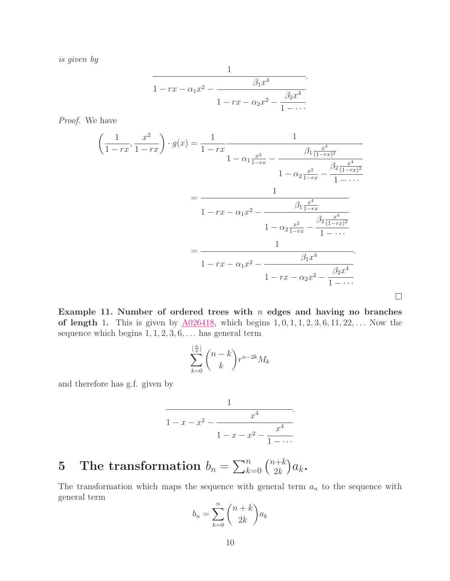is given by

$$
\cfrac{1}{1 - rx - \alpha_1 x^2 - \cfrac{\beta_1 x^4}{1 - rx - \alpha_2 x^2 - \cfrac{\beta_2 x^4}{1 - \cdots}}}.
$$

Proof. We have

$$
\left(\frac{1}{1-rx}, \frac{x^2}{1-rx}\right) \cdot g(x) = \frac{1}{1-rx} \frac{1}{1-\alpha_1 \frac{x^2}{1-rx} - \frac{\beta_1 \frac{x^4}{(1-rx)^2}}{1-\alpha_2 \frac{x^2}{1-rx} - \frac{\beta_2 \frac{x^4}{(1-rx)^2}}{1-\cdots}}}} = \frac{1}{1-rx - \alpha_1 x^2 - \frac{\beta_1 \frac{x^4}{1-rx}}{1-\alpha_2 \frac{x^2}{1-rx} - \frac{\beta_2 \frac{x^4}{(1-rx)^2}}{1-\cdots}}}} = \frac{1}{1-rx - \alpha_1 x^2 - \frac{\beta_1 x^4}{1-rx - \alpha_2 x^2 - \frac{\beta_2 x^4}{1-\cdots}}}}.
$$

Example 11. Number of ordered trees with  $n$  edges and having no branches of length 1. This is given by  $\underline{A026418}$ , which begins  $1, 0, 1, 1, 2, 3, 6, 11, 22, \ldots$  Now the sequence which begins  $1, 1, 2, 3, 6, \ldots$  has general term

 $\Box$ 

$$
\sum_{k=0}^{\lfloor \frac{n}{2} \rfloor} \binom{n-k}{k} r^{n-2k} M_k
$$

and therefore has g.f. given by

$$
\cfrac{1}{1-x-x^2-\cfrac{x^4}{1-x-x^2-\cfrac{x^4}{1-\cdots}}}.
$$

5 The transformation  $b_n = \sum_{k=0}^n \binom{n+k}{2k}$  $a_{2k}^{n+k}$ ) $a_k$ .

The transformation which maps the sequence with general term  $a_n$  to the sequence with general term

$$
b_n = \sum_{k=0}^n \binom{n+k}{2k} a_k
$$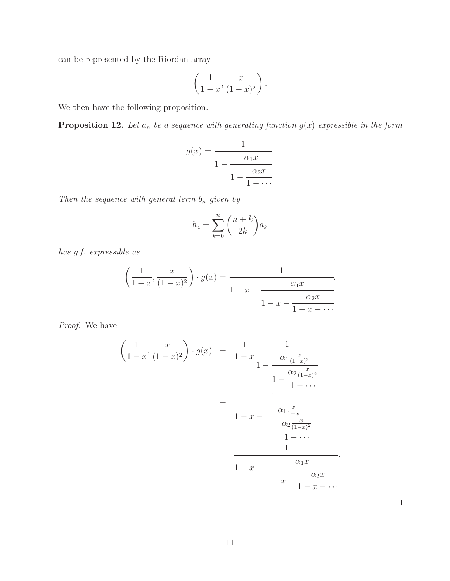can be represented by the Riordan array

$$
\left(\frac{1}{1-x}, \frac{x}{(1-x)^2}\right).
$$

We then have the following proposition.

**Proposition 12.** Let  $a_n$  be a sequence with generating function  $g(x)$  expressible in the form

$$
g(x) = \frac{1}{1 - \frac{\alpha_1 x}{1 - \frac{\alpha_2 x}{1 - \dots}}}.
$$

Then the sequence with general term  $\mathbf{b}_n$  given by

$$
b_n = \sum_{k=0}^n \binom{n+k}{2k} a_k
$$

has g.f. expressible as

$$
\left(\frac{1}{1-x}, \frac{x}{(1-x)^2}\right) \cdot g(x) = \frac{1}{1-x-\frac{\alpha_1 x}{1-x-\frac{\alpha_2 x}{1-x-\cdots}}}.
$$

Proof. We have

$$
\left(\frac{1}{1-x}, \frac{x}{(1-x)^2}\right) \cdot g(x) = \frac{1}{1-x} \frac{1}{1-\frac{\alpha_1 \frac{x}{(1-x)^2}}{1-\frac{\alpha_2 \frac{x}{(1-x)^2}}{1-\cdots}}}
$$
\n
$$
= \frac{1}{1-x - \frac{\alpha_1 \frac{x}{1-x}}{1-\frac{\alpha_2 \frac{x}{(1-x)^2}}{1-\cdots}}}
$$
\n
$$
= \frac{1}{1-x - \frac{\alpha_1 x}{1-x - \frac{\alpha_2 x}{1-x - \cdots}}}.
$$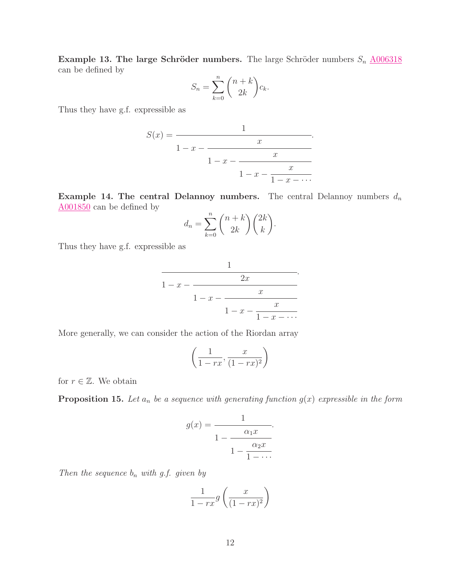Example 13. The large Schröder numbers. The large Schröder numbers  $S_n$   $\underline{\text{A}006318}$ can be defined by

$$
S_n = \sum_{k=0}^n \binom{n+k}{2k} c_k.
$$

Thus they have g.f. expressible as

$$
S(x) = \cfrac{1}{1-x-\cfrac{x}{1-x-\cfrac{x}{1-x-\cfrac{x}{1-x-\cdots}}}}.
$$

Example 14. The central Delannoy numbers. The central Delannoy numbers  $d_n$ [A001850](http://www.research.att.com/cgi-bin/access.cgi/as/~njas/sequences/eisA.cgi?Anum=A001850) can be defined by

$$
d_n = \sum_{k=0}^n \binom{n+k}{2k} \binom{2k}{k}.
$$

Thus they have g.f. expressible as

$$
\cfrac{1}{1-x-\cfrac{2x}{1-x-\cfrac{x}{1-x-\cfrac{x}{1-x-\cdots}}}}.
$$

More generally, we can consider the action of the Riordan array

$$
\left(\frac{1}{1-rx}, \frac{x}{(1-rx)^2}\right)
$$

for  $r \in \mathbb{Z}$ . We obtain

**Proposition 15.** Let  $a_n$  be a sequence with generating function  $g(x)$  expressible in the form

$$
g(x) = \frac{1}{1 - \frac{\alpha_1 x}{1 - \frac{\alpha_2 x}{1 - \dots}}}.
$$

Then the sequence  $b_n$  with g.f. given by

$$
\frac{1}{1-rx}g\left(\frac{x}{(1-rx)^2}\right)
$$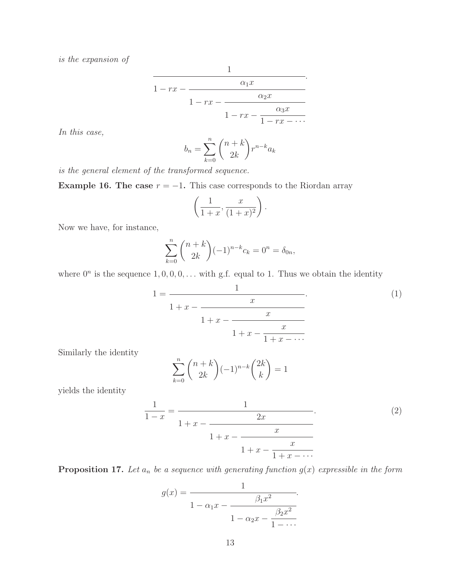is the expansion of

$$
\cfrac{1}{1-rx-\cfrac{\alpha_1x}{1-rx-\cfrac{\alpha_2x}{1-rx-\cfrac{\alpha_3x}{1-rx-\cdots}}}}.
$$

In this case,

$$
b_n = \sum_{k=0}^n \binom{n+k}{2k} r^{n-k} a_k
$$

is the general element of the transformed sequence.

Example 16. The case  $r = -1$ . This case corresponds to the Riordan array

$$
\left(\frac{1}{1+x}, \frac{x}{(1+x)^2}\right).
$$

Now we have, for instance,

$$
\sum_{k=0}^{n} {n+k \choose 2k} (-1)^{n-k} c_k = 0^n = \delta_{0n},
$$

where  $0^n$  is the sequence  $1, 0, 0, 0, \ldots$  with g.f. equal to 1. Thus we obtain the identity

$$
1 = \cfrac{1}{1 + x - \cfrac{x}{1 + x - \cfrac{x}{1 + x - \cfrac{x}{1 + x - \cdots}}}}.
$$
\n(1)

Similarly the identity

$$
\sum_{k=0}^{n} \binom{n+k}{2k} (-1)^{n-k} \binom{2k}{k} = 1
$$

yields the identity

$$
\frac{1}{1-x} = \frac{1}{1+x - \frac{2x}{1+x - \frac{x}{1+x - \frac{x}{1+x - \dots}}}}.\tag{2}
$$

**Proposition 17.** Let  $a_n$  be a sequence with generating function  $g(x)$  expressible in the form

$$
g(x) = \frac{1}{1 - \alpha_1 x - \frac{\beta_1 x^2}{1 - \alpha_2 x - \frac{\beta_2 x^2}{1 - \dots}}}.
$$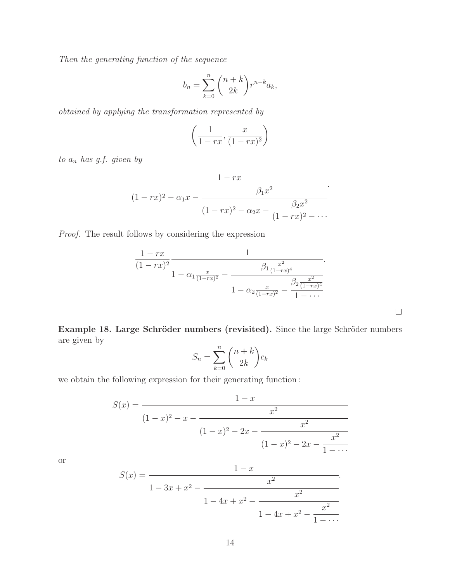Then the generating function of the sequence

$$
b_n = \sum_{k=0}^n \binom{n+k}{2k} r^{n-k} a_k,
$$

obtained by applying the transformation represented by

$$
\left(\frac{1}{1-rx}, \frac{x}{(1-rx)^2}\right)
$$

to  $a_n$  has g.f. given by

$$
\cfrac{1-rx}{(1-rx)^2 - \alpha_1 x - \cfrac{\beta_1 x^2}{(1-rx)^2 - \alpha_2 x - \cfrac{\beta_2 x^2}{(1-rx)^2 - \cdots}}}.
$$

Proof. The result follows by considering the expression

$$
\frac{1 - rx}{(1 - rx)^2} \frac{1}{1 - \alpha_1 \frac{x}{(1 - rx)^2} - \frac{\beta_1 \frac{x^2}{(1 - rx)^4}}{1 - \alpha_2 \frac{x}{(1 - rx)^2} - \frac{\beta_2 \frac{x^2}{(1 - rx)^4}}{1 - \dots}}}
$$

 $\hfill \square$ 

Example 18. Large Schröder numbers (revisited). Since the large Schröder numbers are given by

$$
S_n = \sum_{k=0}^n \binom{n+k}{2k} c_k
$$

we obtain the following expression for their generating function :

$$
S(x) = \frac{1 - x}{(1 - x)^2 - x - \frac{x^2}{(1 - x)^2 - 2x - \frac{x^2}{(1 - x)^2 - 2x - \frac{x^2}{1 - \dots}}}}
$$
\n(1 - x)

or

$$
S(x) = \cfrac{1 - x}{1 - 3x + x^2 - \cfrac{x^2}{1 - 4x + x^2 - \cfrac{x^2}{1 - \cdots}}}.
$$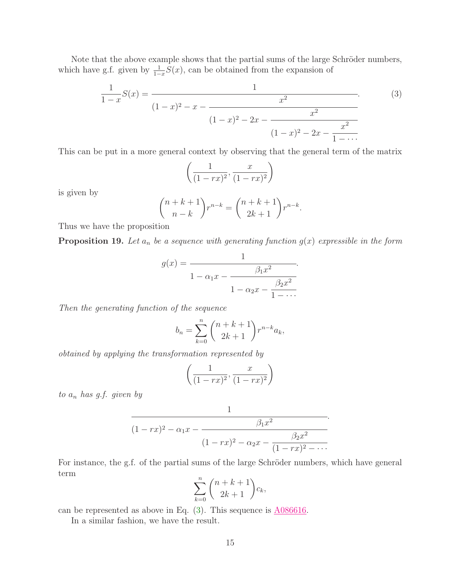Note that the above example shows that the partial sums of the large Schröder numbers, which have g.f. given by  $\frac{1}{1-x}S(x)$ , can be obtained from the expansion of

$$
\frac{1}{1-x}S(x) = \frac{1}{(1-x)^2 - x - \frac{x^2}{(1-x)^2 - 2x - \frac{x^2}{(1-x)^2 - 2x - \frac{x^2}{1-\cdots}}}}.
$$
(3)

This can be put in a more general context by observing that the general term of the matrix

<span id="page-14-0"></span>
$$
\left(\frac{1}{(1-rx)^2}, \frac{x}{(1-rx)^2}\right)
$$

is given by

$$
\binom{n+k+1}{n-k}r^{n-k} = \binom{n+k+1}{2k+1}r^{n-k}.
$$

Thus we have the proposition

**Proposition 19.** Let  $a_n$  be a sequence with generating function  $g(x)$  expressible in the form

$$
g(x) = \frac{1}{1 - \alpha_1 x - \frac{\beta_1 x^2}{1 - \alpha_2 x - \frac{\beta_2 x^2}{1 - \dots}}}
$$

Then the generating function of the sequence

$$
b_n = \sum_{k=0}^{n} {n+k+1 \choose 2k+1} r^{n-k} a_k,
$$

obtained by applying the transformation represented by

$$
\left(\frac{1}{(1-rx)^2}, \frac{x}{(1-rx)^2}\right)
$$

to  $a_n$  has g.f. given by

$$
\cfrac{1}{(1-rx)^2 - \alpha_1 x - \cfrac{\beta_1 x^2}{(1-rx)^2 - \alpha_2 x - \cfrac{\beta_2 x^2}{(1-rx)^2 - \cdots}}}.
$$

For instance, the g.f. of the partial sums of the large Schröder numbers, which have general term

$$
\sum_{k=0}^{n} \binom{n+k+1}{2k+1} c_k,
$$

can be represented as above in Eq. [\(3\)](#page-14-0). This sequence is [A086616.](http://www.research.att.com/cgi-bin/access.cgi/as/~njas/sequences/eisA.cgi?Anum=A086616)

In a similar fashion, we have the result.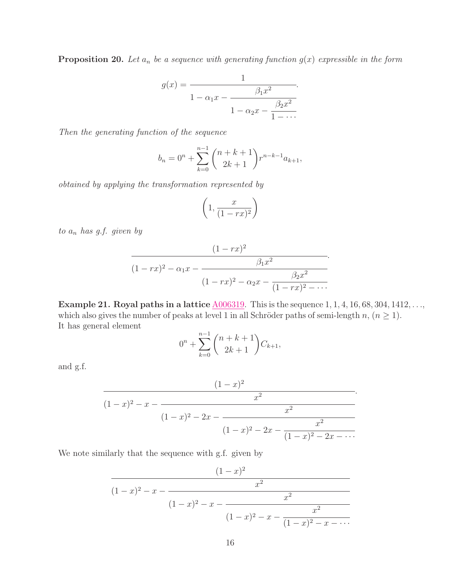**Proposition 20.** Let  $a_n$  be a sequence with generating function  $g(x)$  expressible in the form

$$
g(x) = \frac{1}{1 - \alpha_1 x - \frac{\beta_1 x^2}{1 - \alpha_2 x - \frac{\beta_2 x^2}{1 - \dots}}}.
$$

Then the generating function of the sequence

$$
b_n = 0^n + \sum_{k=0}^{n-1} {n+k+1 \choose 2k+1} r^{n-k-1} a_{k+1},
$$

obtained by applying the transformation represented by

$$
\left(1, \frac{x}{(1 - rx)^2}\right)
$$

to  $a_n$  has g.f. given by

$$
\cfrac{(1-rx)^2}{(1-rx)^2 - \alpha_1 x - \cfrac{\beta_1 x^2}{(1-rx)^2 - \alpha_2 x - \cfrac{\beta_2 x^2}{(1-rx)^2 - \cdots}}}.
$$

Example 21. Royal paths in a lattice  $\underline{A006319}$ . This is the sequence 1, 1, 4, 16, 68, 304, 1412, ..., which also gives the number of peaks at level 1 in all Schröder paths of semi-length n,  $(n \geq 1)$ . It has general element

$$
0^n + \sum_{k=0}^{n-1} \binom{n+k+1}{2k+1} C_{k+1},
$$

and g.f.

$$
\cfrac{(1-x)^2}{(1-x)^2 - x - \cfrac{x^2}{(1-x)^2 - 2x - \cfrac{x^2}{(1-x)^2 - 2x - \cfrac{x^2}{(1-x)^2 - 2x - \cdots}}}}.
$$

We note similarly that the sequence with g.f. given by

$$
\cfrac{(1-x)^2}{(1-x)^2 - x - \cfrac{x^2}{(1-x)^2 - x - \cfrac{x^2}{(1-x)^2 - x - \cfrac{x^2}{(1-x)^2 - x - \cdots}}}}
$$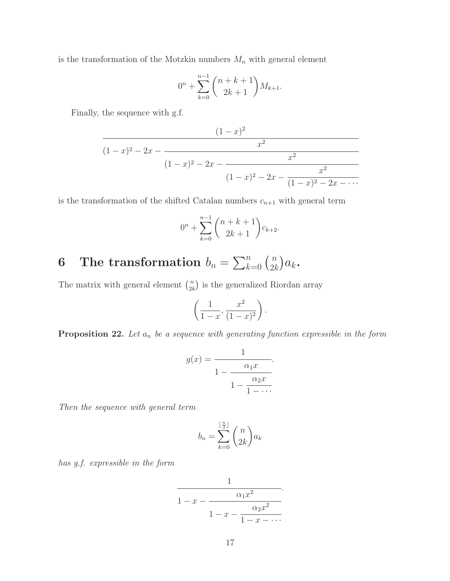is the transformation of the Motzkin numbers  $M_n$  with general element

$$
0^n + \sum_{k=0}^{n-1} {n+k+1 \choose 2k+1} M_{k+1}.
$$

Finally, the sequence with g.f.

$$
\cfrac{(1-x)^2}{(1-x)^2 - 2x - \cfrac{x^2}{(1-x)^2 - 2x - \cfrac{x^2}{(1-x)^2 - 2x - \cfrac{x^2}{(1-x)^2 - 2x - \cdots}}}}
$$

is the transformation of the shifted Catalan numbers  $c_{n+1}$  with general term

$$
0^{n} + \sum_{k=0}^{n-1} {n+k+1 \choose 2k+1} c_{k+2}.
$$

### 6 The transformation  $b_n = \sum_{k=0}^n {n \choose 2k}$  $\binom{n}{2k}a_k$ .

The matrix with general element  $\binom{n}{2k}$  $\binom{n}{2k}$  is the generalized Riordan array

$$
\left(\frac{1}{1-x}, \frac{x^2}{(1-x)^2}\right).
$$

**Proposition 22.** Let  $a_n$  be a sequence with generating function expressible in the form

$$
g(x) = \frac{1}{1 - \frac{\alpha_1 x}{1 - \frac{\alpha_2 x}{1 - \dots}}}.
$$

.

Then the sequence with general term

$$
b_n = \sum_{k=0}^{\lfloor \frac{n}{2} \rfloor} \binom{n}{2k} a_k
$$

has g.f. expressible in the form

$$
\cfrac{1}{1-x-\cfrac{\alpha_1x^2}{1-x-\cfrac{\alpha_2x^2}{1-x-\cdots}}}.
$$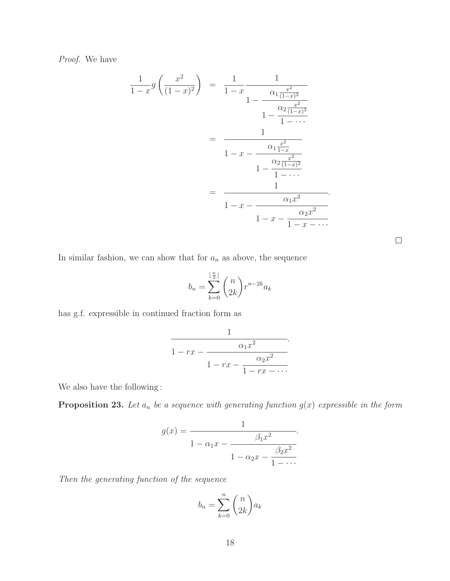Proof. We have

$$
\frac{1}{1-x}g\left(\frac{x^2}{(1-x)^2}\right) = \frac{1}{1-x} \frac{1}{1-\frac{\alpha_1\frac{x^2}{(1-x)^2}}{1-\frac{\alpha_2\frac{x^2}{(1-x)^2}}{1-\cdots}}}}
$$
\n
$$
= \frac{1}{1-x-\frac{\alpha_1\frac{x^2}{1-x}}{1-\frac{\alpha_2\frac{x^2}{(1-x)^2}}{1-\cdots}}}}
$$
\n
$$
= \frac{1}{1-x-\frac{\alpha_1x^2}{1-x-\frac{\alpha_2x^2}{1-x-\cdots}}}}.
$$

In similar fashion, we can show that for  $a_n$  as above, the sequence

$$
b_n = \sum_{k=0}^{\lfloor \frac{n}{2} \rfloor} \binom{n}{2k} r^{n-2k} a_k
$$

 $\Box$ 

has g.f. expressible in continued fraction form as

$$
\cfrac{1}{1-rx-\cfrac{\alpha_1x^2}{1-rx-\cfrac{\alpha_2x^2}{1-rx-\cdots}}}.
$$

We also have the following :

**Proposition 23.** Let  $a_n$  be a sequence with generating function  $g(x)$  expressible in the form

$$
g(x) = \frac{1}{1 - \alpha_1 x - \frac{\beta_1 x^2}{1 - \alpha_2 x - \frac{\beta_2 x^2}{1 - \dots}}}.
$$

Then the generating function of the sequence

$$
b_n = \sum_{k=0}^n \binom{n}{2k} a_k
$$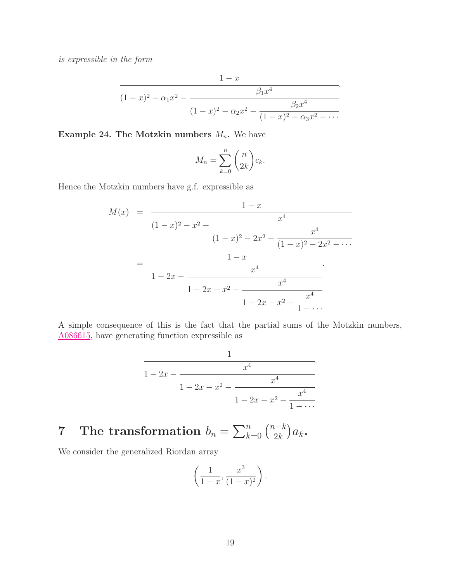is expressible in the form

$$
\cfrac{1-x}{(1-x)^2 - \alpha_1 x^2 - \cfrac{\beta_1 x^4}{(1-x)^2 - \alpha_2 x^2 - \cfrac{\beta_2 x^4}{(1-x)^2 - \alpha_3 x^2 - \cdots}}}.
$$

Example 24. The Motzkin numbers  $M_n$ . We have

$$
M_n = \sum_{k=0}^n \binom{n}{2k} c_k.
$$

Hence the Motzkin numbers have g.f. expressible as

$$
M(x) = \frac{1-x}{(1-x)^2 - x^2 - \frac{x^4}{(1-x)^2 - 2x^2 - \frac{x^4}{(1-x)^2 - 2x^2 - \cdots}}}
$$
  
= 
$$
\frac{1-x}{1-2x - \frac{x^4}{1-2x - x^2 - \frac{x^4}{1-2x - x^2 - \frac{x^4}{1- \cdots}}}}
$$

A simple consequence of this is the fact that the partial sums of the Motzkin numbers, [A086615,](http://www.research.att.com/cgi-bin/access.cgi/as/~njas/sequences/eisA.cgi?Anum=A086615) have generating function expressible as

$$
\cfrac{1}{1-2x-\cfrac{x^4}{1-2x-x^2-\cfrac{x^4}{1-2x-x^2-\cfrac{x^4}{1-\cdots}}}}.
$$

### 7 The transformation  $b_n = \sum_{k=0}^n \binom{n-k}{2k}$  $a_{2k}^{n-k}$ ) $a_k$ .

We consider the generalized Riordan array

$$
\left(\frac{1}{1-x}, \frac{x^3}{(1-x)^2}\right).
$$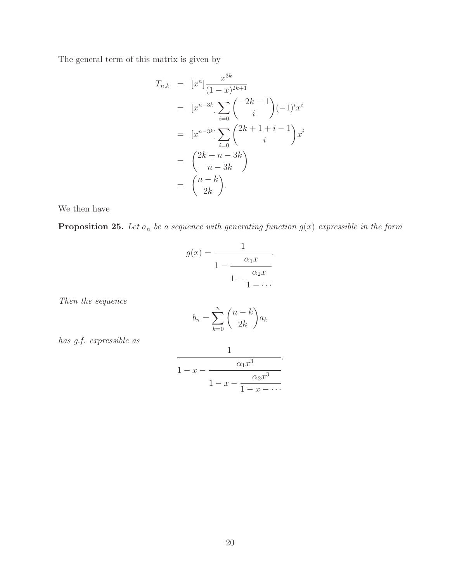The general term of this matrix is given by

$$
T_{n,k} = [x^n] \frac{x^{3k}}{(1-x)^{2k+1}}
$$
  
\n
$$
= [x^{n-3k}] \sum_{i=0}^{\infty} {\binom{-2k-1}{i}} (-1)^i x^i
$$
  
\n
$$
= [x^{n-3k}] \sum_{i=0}^{\infty} {\binom{2k+1+i-1}{i}} x^i
$$
  
\n
$$
= {\binom{2k+n-3k}{n-3k}}
$$
  
\n
$$
= {\binom{n-k}{2k}}.
$$

We then have

**Proposition 25.** Let  $a_n$  be a sequence with generating function  $g(x)$  expressible in the form

$$
g(x) = \frac{1}{1 - \frac{\alpha_1 x}{1 - \frac{\alpha_2 x}{1 - \dots}}}.
$$

Then the sequence

$$
b_n = \sum_{k=0}^n \binom{n-k}{2k} a_k
$$

has g.f. expressible as

$$
\cfrac{1}{1-x-\cfrac{\alpha_1x^3}{1-x-\cfrac{\alpha_2x^3}{1-x-\cdots}}}.
$$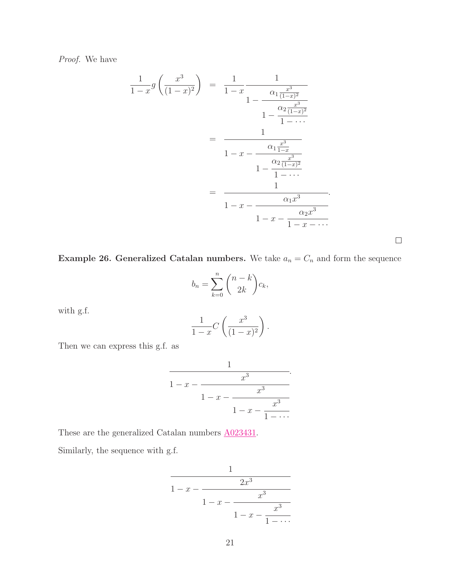Proof. We have

$$
\frac{1}{1-x}g\left(\frac{x^3}{(1-x)^2}\right) = \frac{1}{1-x}\frac{1}{1-\frac{\alpha_1\frac{x^3}{(1-x)^2}}{1-\frac{\alpha_2\frac{x^3}{(1-x)^2}}{1-\cdots}}}}
$$
\n
$$
= \frac{1}{1-x-\frac{\alpha_1\frac{x^3}{1-x}}{1-\frac{\alpha_2\frac{x^3}{(1-x)^2}}{1-\cdots}}}}
$$
\n
$$
= \frac{1}{1-x-\frac{\alpha_1x^3}{1-\cdots}}}
$$
\n
$$
= \frac{1}{1-x-\frac{\alpha_1x^3}{1-x-\cdots}}.
$$

**Example 26. Generalized Catalan numbers.** We take  $a_n = C_n$  and form the sequence

 $\Box$ 

$$
b_n = \sum_{k=0}^n \binom{n-k}{2k} c_k,
$$

with g.f.

$$
\frac{1}{1-x}C\left(\frac{x^3}{(1-x)^2}\right).
$$

Then we can express this g.f. as

$$
\cfrac{1}{1-x-\cfrac{x^3}{1-x-\cfrac{x^3}{1-x-\cfrac{x^3}{1-\cdots}}}}.
$$

These are the generalized Catalan numbers [A023431.](http://www.research.att.com/cgi-bin/access.cgi/as/~njas/sequences/eisA.cgi?Anum=A023431)

Similarly, the sequence with g.f.

$$
\cfrac{1}{1-x-\cfrac{2x^3}{1-x-\cfrac{x^3}{1-x-\cfrac{x^3}{1-\cdots}}}}
$$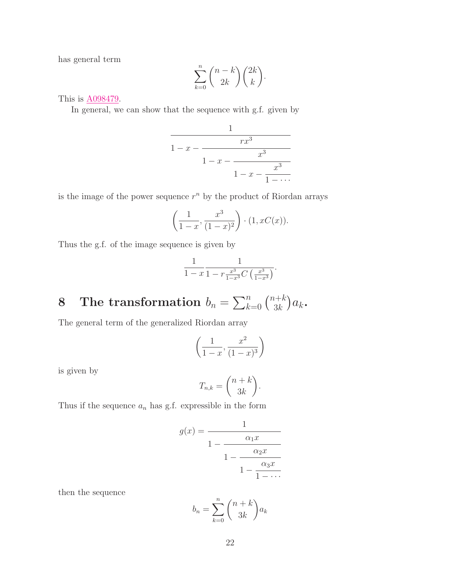has general term

$$
\sum_{k=0}^{n} \binom{n-k}{2k} \binom{2k}{k}.
$$

This is [A098479.](http://www.research.att.com/cgi-bin/access.cgi/as/~njas/sequences/eisA.cgi?Anum=A098479)

In general, we can show that the sequence with g.f. given by

$$
\cfrac{1}{1-x-\cfrac{rx^3}{1-x-\cfrac{x^3}{1-x-\cfrac{x^3}{1-\cdots}}}}
$$

is the image of the power sequence  $r^n$  by the product of Riordan arrays

$$
\left(\frac{1}{1-x}, \frac{x^3}{(1-x)^2}\right) \cdot (1, xC(x)).
$$

Thus the g.f. of the image sequence is given by

$$
\frac{1}{1-x} \frac{1}{1-r \frac{x^3}{1-x^3} C \left(\frac{x^3}{1-x^3}\right)}.
$$

### 8 The transformation  $b_n = \sum_{k=0}^n \binom{n+k}{3k}$  $a_{3k}^{n+k}$ ) $a_k$ .

The general term of the generalized Riordan array

$$
\left(\frac{1}{1-x}, \frac{x^2}{(1-x)^3}\right)
$$

is given by

$$
T_{n,k} = \binom{n+k}{3k}.
$$

Thus if the sequence  $a_n$  has g.f. expressible in the form

$$
g(x) = \cfrac{1}{1 - \cfrac{\alpha_1 x}{1 - \cfrac{\alpha_2 x}{1 - \cfrac{\alpha_3 x}{1 - \cdots}}}}
$$

then the sequence

$$
b_n = \sum_{k=0}^n \binom{n+k}{3k} a_k
$$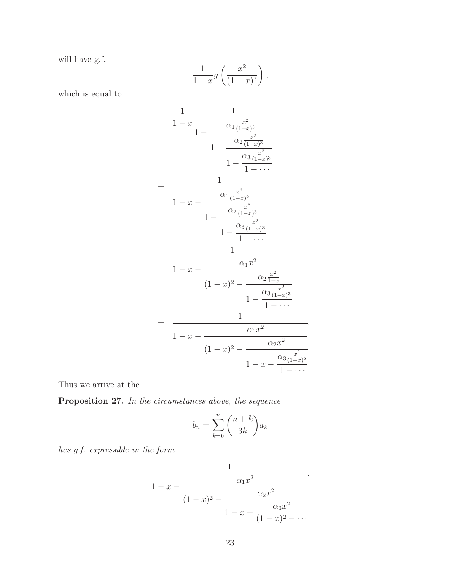will have g.f.

$$
\frac{1}{1-x}g\left(\frac{x^2}{(1-x)^3}\right),\,
$$

which is equal to

$$
\frac{1}{1-x} \frac{1}{1-\frac{\alpha_1 \frac{x^2}{(1-x)^3}}{1-\frac{\alpha_2 \frac{x^2}{(1-x)^3}}{1-\frac{\alpha_3 \frac{x^2}{(1-x)^3}}{1-\cdots}}}}
$$
\n
$$
= \frac{1}{1-x-\frac{\alpha_1 \frac{x^2}{(1-x)^2}}{1-\frac{\alpha_2 \frac{x^2}{(1-x)^3}}{1-\cdots}}}
$$
\n
$$
= \frac{1}{1-x-\frac{\alpha_1 x^2}{(1-x)^2}}
$$
\n
$$
= \frac{1}{1-x-\frac{\alpha_1 x^2}{(1-x)^2-\frac{\alpha_2 \frac{x^2}{1-x}}{1-\cdots}}}}
$$
\n
$$
= \frac{1}{1-x-\frac{\alpha_1 x^2}{(1-x)^2-\frac{\alpha_3 \frac{x^2}{(1-x)^3}}{1-\cdots}}}}
$$
\n
$$
= \frac{1}{1-x-\frac{\alpha_1 x^2}{(1-x)^2-\frac{\alpha_2 x^2}{(1-x)^2}}}}
$$
\n
$$
1-x-\frac{\alpha_3 \frac{x^2}{(1-x)^2}}{1-\cdots}}
$$

.

Thus we arrive at the

Proposition 27. In the circumstances above, the sequence

$$
b_n = \sum_{k=0}^n \binom{n+k}{3k} a_k
$$

has g.f. expressible in the form

$$
\cfrac{1}{1-x-\cfrac{\alpha_1 x^2}{(1-x)^2-\cfrac{\alpha_2 x^2}{1-x-\cfrac{\alpha_3 x^2}{(1-x)^2-\cdots}}}}.
$$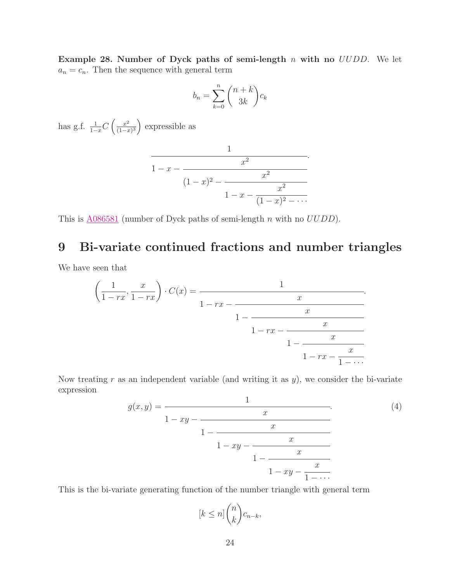Example 28. Number of Dyck paths of semi-length  $n$  with no  $UUDD$ . We let  $a_n = c_n$ . Then the sequence with general term

$$
b_n = \sum_{k=0}^n \binom{n+k}{3k} c_k
$$

has g.f.  $\frac{1}{1-x}C\left(\frac{x^2}{(1-x)^2}\right)$  $\frac{x^2}{(1-x)^3}$  expressible as

$$
\cfrac{1}{1-x-\cfrac{x^2}{(1-x)^2-\cfrac{x^2}{1-x-\cfrac{x^2}{(1-x)^2-\cdots}}}}.
$$

This is  $\underline{A}086581$  (number of Dyck paths of semi-length n with no  $UUDD$ ).

## 9 Bi-variate continued fractions and number triangles

We have seen that

$$
\left(\frac{1}{1-rx}, \frac{x}{1-rx}\right) \cdot C(x) = \cfrac{1}{1-rx - \cfrac{x}{1-rx - \cfrac{x}{1-rx - \cfrac{x}{1-rx - \cfrac{x}{1-rx - \cfrac{x}{1-rx}}}}}}.
$$

<span id="page-23-0"></span>Now treating  $r$  as an independent variable (and writing it as  $y$ ), we consider the bi-variate expression

$$
g(x,y) = \cfrac{1}{1 - xy - \cfrac{x}{1 - xy - \cfrac{x}{1 - xy - \cfrac{x}{1 - xy - \cfrac{x}{1 - \cdots}}}}.
$$
(4)

This is the bi-variate generating function of the number triangle with general term

$$
[k \le n] \binom{n}{k} c_{n-k},
$$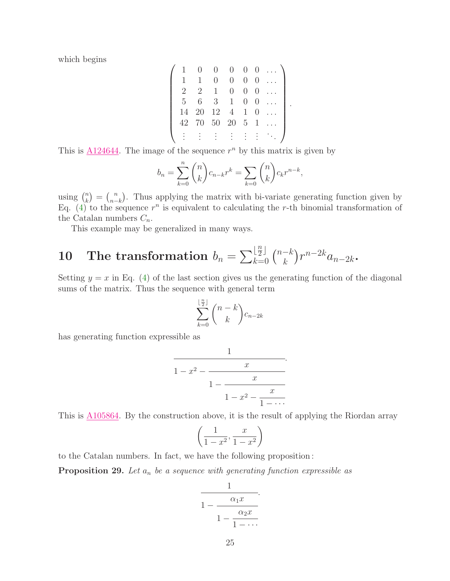which begins

$$
\left(\begin{array}{cccccc} 1 & 0 & 0 & 0 & 0 & 0 & \dots \\ 1 & 1 & 0 & 0 & 0 & 0 & \dots \\ 2 & 2 & 1 & 0 & 0 & 0 & \dots \\ 5 & 6 & 3 & 1 & 0 & 0 & \dots \\ 14 & 20 & 12 & 4 & 1 & 0 & \dots \\ 42 & 70 & 50 & 20 & 5 & 1 & \dots \\ \vdots & \vdots & \vdots & \vdots & \vdots & \vdots & \ddots \end{array}\right).
$$

This is  $\triangle 124644$ . The image of the sequence  $r^n$  by this matrix is given by

$$
b_n = \sum_{k=0}^n {n \choose k} c_{n-k} r^k = \sum_{k=0}^n {n \choose k} c_k r^{n-k},
$$

using  $\binom{n}{k}$  $\binom{n}{k} = \binom{n}{n-1}$  $n<sub>n-k</sub>$ ). Thus applying the matrix with bi-variate generating function given by Eq. [\(4\)](#page-23-0) to the sequence  $r^n$  is equivalent to calculating the r-th binomial transformation of the Catalan numbers  $C_n$ .

This example may be generalized in many ways.

#### 10 The transformation  $b_n = \sum_k^{\lfloor n \rfloor}$ n  $\begin{bmatrix} \frac{n}{2} \\ k=0 \end{bmatrix}$   $\begin{pmatrix} n-k \\ k \end{pmatrix}$  ${k\choose k} r^{n-2k} a_{n-2k}$ .

Setting  $y = x$  in Eq. [\(4\)](#page-23-0) of the last section gives us the generating function of the diagonal sums of the matrix. Thus the sequence with general term

$$
\sum_{k=0}^{\lfloor \frac{n}{2} \rfloor} \binom{n-k}{k} c_{n-2k}
$$

has generating function expressible as

$$
\cfrac{1}{1-x^2-\cfrac{x}{1-\cfrac{x}{1-x^2-\cfrac{x}{1-\cdots}}}}.
$$

This is [A105864.](http://www.research.att.com/cgi-bin/access.cgi/as/~njas/sequences/eisA.cgi?Anum=A105864) By the construction above, it is the result of applying the Riordan array

$$
\left(\frac{1}{1-x^2}, \frac{x}{1-x^2}\right)
$$

to the Catalan numbers. In fact, we have the following proposition :

**Proposition 29.** Let  $a_n$  be a sequence with generating function expressible as

$$
\cfrac{1}{1 - \cfrac{\alpha_1 x}{1 - \cfrac{\alpha_2 x}{1 - \cdots}}}.
$$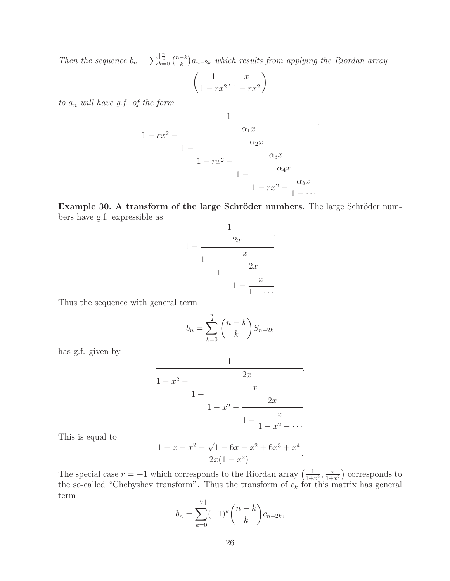Then the sequence  $b_n = \sum_{k=0}^{\lfloor \frac{n}{2} \rfloor} {n-k \choose k} a_{n-2k}$  which results from applying the Riordan array

$$
\left(\frac{1}{1-rx^2}, \frac{x}{1-rx^2}\right)
$$

to  $a_n$  will have g.f. of the form

$$
\cfrac{1}{1 - rx^2 - \cfrac{\alpha_1 x}{1 - \cfrac{\alpha_2 x}{1 - rx^2 - \cfrac{\alpha_3 x}{1 - \cfrac{\alpha_4 x}{1 - rx^2 - \cfrac{\alpha_5 x}{1 - \cdots}}}}}.
$$

Example 30. A transform of the large Schröder numbers. The large Schröder numbers have g.f. expressible as

$$
\cfrac{1}{1-\cfrac{2x}{1-\cfrac{x}{1-\cfrac{2x}{1-\cfrac{x}{1-\cdots}}}}}.
$$

Thus the sequence with general term

$$
b_n = \sum_{k=0}^{\lfloor \frac{n}{2} \rfloor} {n-k \choose k} S_{n-2k}
$$

has g.f. given by

$$
\cfrac{1}{1-x^2-\cfrac{2x}{1-\cfrac{x}{1-x^2-\cfrac{2x}{1-\cfrac{x}{1-x^2-\cdots}}}}}.
$$

This is equal to

$$
\frac{1-x-x^2-\sqrt{1-6x-x^2+6x^3+x^4}}{2x(1-x^2)}.
$$

The special case  $r = -1$  which corresponds to the Riordan array  $\left(\frac{1}{1+x^2}, \frac{x}{1+x^2}\right)$  corresponds to the so-called "Chebyshev transform". Thus the transform of  $c_k$  for this matrix has general term n

$$
b_n = \sum_{k=0}^{\lfloor \frac{n}{2} \rfloor} (-1)^k {n-k \choose k} c_{n-2k},
$$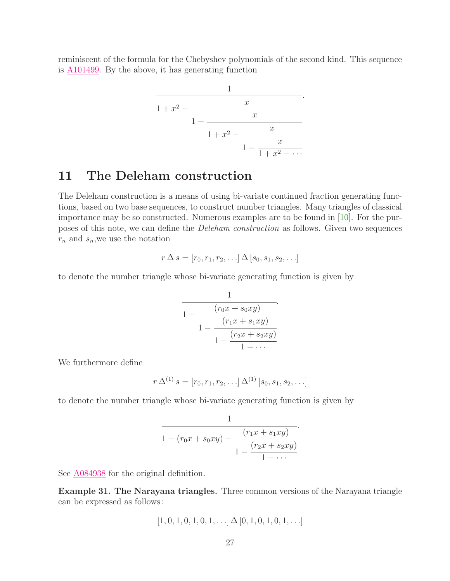reminiscent of the formula for the Chebyshev polynomials of the second kind. This sequence is [A101499.](http://www.research.att.com/cgi-bin/access.cgi/as/~njas/sequences/eisA.cgi?Anum=A101499) By the above, it has generating function

$$
\cfrac{1}{1+x^2-\cfrac{x}{1-\cfrac{x}{1+x^2-\cfrac{x}{1-\cfrac{x}{1+x^2-\cdots}}}}}.
$$

### 11 The Deleham construction

The Deleham construction is a means of using bi-variate continued fraction generating functions, based on two base sequences, to construct number triangles. Many triangles of classical importance may be so constructed. Numerous examples are to be found in [\[10\]](#page-35-0). For the purposes of this note, we can define the Deleham construction as follows. Given two sequences  $r_n$  and  $s_n$ , we use the notation

$$
r \Delta s = [r_0, r_1, r_2, \ldots] \Delta [s_0, s_1, s_2, \ldots]
$$

to denote the number triangle whose bi-variate generating function is given by

$$
\cfrac{1}{1 - \cfrac{(r_0x + s_0xy)}{1 - \cfrac{(r_1x + s_1xy)}{1 - \cfrac{(r_2x + s_2xy)}{1 - \cdots}}}}.
$$

We furthermore define

$$
r\,\Delta^{(1)}\,s=[r_0,r_1,r_2,\ldots]\,\Delta^{(1)}\,[s_0,s_1,s_2,\ldots]
$$

to denote the number triangle whose bi-variate generating function is given by

$$
\cfrac{1}{1 - (r_0 x + s_0 x y) - \cfrac{(r_1 x + s_1 x y)}{1 - \cfrac{(r_2 x + s_2 x y)}{1 - \cdots}}}
$$

.

See  $\underline{\text{A}084938}$  for the original definition.

Example 31. The Narayana triangles. Three common versions of the Narayana triangle can be expressed as follows :

$$
[1, 0, 1, 0, 1, 0, 1, \ldots] \Delta [0, 1, 0, 1, 0, 1, \ldots]
$$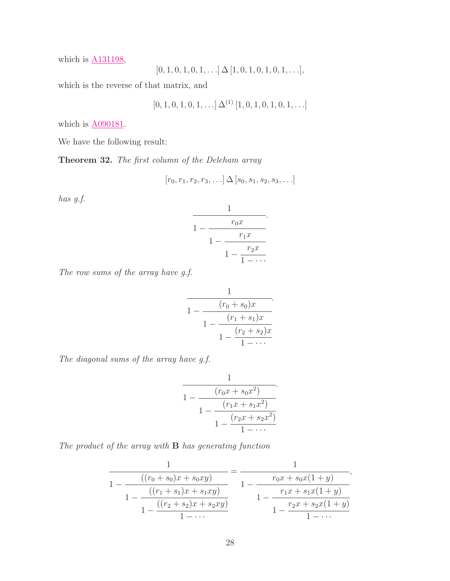which is **A131198**,

$$
[0, 1, 0, 1, 0, 1, \ldots] \Delta [1, 0, 1, 0, 1, 0, 1, \ldots],
$$

which is the reverse of that matrix, and

$$
[0, 1, 0, 1, 0, 1, \ldots] \Delta^{(1)} [1, 0, 1, 0, 1, 0, 1, \ldots]
$$

which is  $\underline{A090181}$ .

We have the following result:

Theorem 32. The first column of the Deleham array

$$
[r_0, r_1, r_2, r_3, \ldots] \Delta [s_0, s_1, s_2, s_3, \ldots]
$$

has g.f.

$$
\cfrac{1}{1 - \cfrac{r_0 x}{1 - \cfrac{r_1 x}{1 - \cfrac{r_2 x}{1 - \cdots}}}}.
$$

The row sums of the array have g.f.

$$
\cfrac{1}{1 - \cfrac{(r_0 + s_0)x}{1 - \cfrac{(r_1 + s_1)x}{1 - \cfrac{(r_2 + s_2)x}{1 - \cdots}}}}.
$$

The diagonal sums of the array have g.f.

$$
\cfrac{1}{1 - \cfrac{(r_0 x + s_0 x^2)}{1 - \cfrac{(r_1 x + s_1 x^2)}{1 - \cfrac{(r_2 x + s_2 x^2)}{1 - \cdots}}}}.
$$

The product of the array with  $B$  has generating function

$$
\frac{1}{1 - \frac{((r_0 + s_0)x + s_0xy)}{1 - \frac{((r_1 + s_1)x + s_1xy)}{1 - \frac{((r_2 + s_2)x + s_2xy)}{1 - \dots}}}} = \frac{1}{1 - \frac{r_0x + s_0x(1+y)}{1 - \frac{r_1x + s_1x(1+y)}{1 - \frac{r_2x + s_2x(1+y)}{1 - \dots}}}},
$$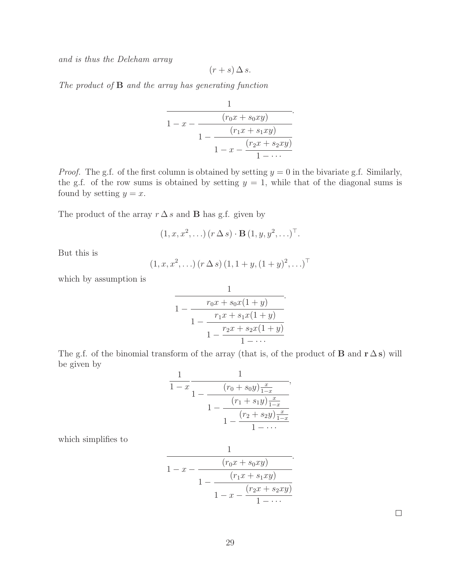and is thus the Deleham array

$$
(r+s)\,\Delta\,s.
$$

The product of  $B$  and the array has generating function

$$
\cfrac{1}{1-x-\cfrac{(r_0x+s_0xy)}{1-\cfrac{(r_1x+s_1xy)}{1-x-\cfrac{(r_2x+s_2xy)}{1-\cdots}}}}
$$

.

*Proof.* The g.f. of the first column is obtained by setting  $y = 0$  in the bivariate g.f. Similarly, the g.f. of the row sums is obtained by setting  $y = 1$ , while that of the diagonal sums is found by setting  $y = x$ .

The product of the array  $r \Delta s$  and **B** has g.f. given by

$$
(1, x, x2, \ldots) (r \Delta s) \cdot \mathbf{B} (1, y, y2, \ldots)T.
$$

But this is

$$
(1, x, x^2, \ldots) (r \Delta s) (1, 1 + y, (1 + y)^2, \ldots)^{\top}
$$

which by assumption is

$$
\cfrac{1}{1 - \cfrac{r_0 x + s_0 x (1 + y)}{1 - \cfrac{r_1 x + s_1 x (1 + y)}{1 - \cfrac{r_2 x + s_2 x (1 + y)}{1 - \cdots}}}}.
$$

The g.f. of the binomial transform of the array (that is, of the product of **B** and  $\mathbf{r} \Delta \mathbf{s}$ ) will be given by

$$
\cfrac{1}{1-x}\cfrac{1}{1-\cfrac{(r_0+s_0y)\frac{x}{1-x}}{1-\cfrac{(r_1+s_1y)\frac{x}{1-x}}{1-\cfrac{(r_2+s_2y)\frac{x}{1-x}}{1-\cdots}}}},
$$

which simplifies to

$$
\cfrac{1}{1-x-\cfrac{(r_0x+s_0xy)}{1-\cfrac{(r_1x+s_1xy)}{1-x-\cfrac{(r_2x+s_2xy)}{1-\cdots}}}}.
$$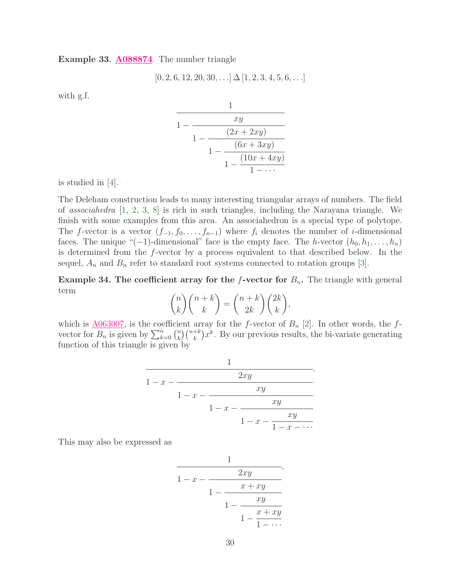Example 33. [A088874](http://www.research.att.com/cgi-bin/access.cgi/as/~njas/sequences/eisA.cgi?Anum=A088874). The number triangle

$$
[0, 2, 6, 12, 20, 30, \ldots] \Delta [1, 2, 3, 4, 5, 6, \ldots]
$$

with g.f.

$$
\cfrac{1}{1 - \cfrac{xy}{1 - \cfrac{(2x + 2xy)}}{1 - \cfrac{(6x + 3xy)}{1 - \cfrac{(10x + 4xy)}{1 - \cdots}}}}
$$

is studied in [\[4\]](#page-35-8).

The Deleham construction leads to many interesting triangular arrays of numbers. The field of associahedra  $[1, 2, 3, 8]$  $[1, 2, 3, 8]$  $[1, 2, 3, 8]$  $[1, 2, 3, 8]$  $[1, 2, 3, 8]$  $[1, 2, 3, 8]$  $[1, 2, 3, 8]$  is rich in such triangles, including the Narayana triangle. We finish with some examples from this area. An associahedron is a special type of polytope. The f-vector is a vector  $(f_{-1}, f_0, \ldots, f_{n-1})$  where  $f_i$  denotes the number of i-dimensional faces. The unique "(−1)-dimensional" face is the empty face. The h-vector  $(h_0, h_1, \ldots, h_n)$ is determined from the f-vector by a process equivalent to that described below. In the sequel,  $A_n$  and  $B_n$  refer to standard root systems connected to rotation groups [\[3\]](#page-35-11).

**Example 34. The coefficient array for the f-vector for**  $B_n$ **.** The triangle with general term

$$
\binom{n}{k}\binom{n+k}{k} = \binom{n+k}{2k}\binom{2k}{k},
$$

which is  $\underline{A063007}$ , is the coefficient array for the f-vector of  $B_n$  [\[2\]](#page-35-10). In other words, the fvector for  $B_n$  is given by  $\sum_{k=0}^n \binom{n}{k}$  $\binom{n}{k} \binom{n+k}{k} x^k$ . By our previous results, the bi-variate generating function of this triangle is given by

$$
\cfrac{1}{1-x-\cfrac{2xy}{1-x-\cfrac{xy}{1-x-\cfrac{xy}{1-x-\cfrac{xy}{1-x-\cdots}}}}}.
$$

This may also be expressed as

$$
\cfrac{1}{1-x-\cfrac{2xy}{1-\cfrac{x+xy}{1-\cfrac{xy}{1-\cfrac{x+xy}{1-\cdots}}}}},
$$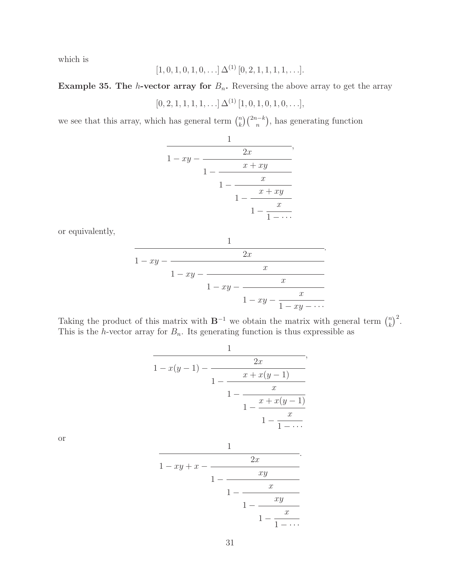which is

$$
[1, 0, 1, 0, 1, 0, \ldots] \Delta^{(1)} [0, 2, 1, 1, 1, 1, \ldots].
$$

Example 35. The *h*-vector array for  $B_n$ . Reversing the above array to get the array

 $[0, 2, 1, 1, 1, 1, \ldots] \Delta^{(1)} [1, 0, 1, 0, 1, 0, \ldots],$ 

we see that this array, which has general term  $\binom{n}{k}$  $\binom{n}{k}\binom{2n-k}{n}$ , has generating function

$$
\cfrac{1}{1 - xy - \cfrac{2x}{1 - \cfrac{x + xy}{1 - \cfrac{x}{1 - \cfrac{x}{1 - \cfrac{x}{1 - \cdots}}}}}},
$$

or equivalently,

$$
\cfrac{1}{1-xy-\cfrac{2x}{1-xy-\cfrac{x}{1-xy-\cfrac{x}{1-xy-\cfrac{x}{1-xy-\cdots}}}}}.
$$

Taking the product of this matrix with  $B^{-1}$  we obtain the matrix with general term  $\binom{n}{k}$  $\binom{n}{k}^2$ . This is the h-vector array for  $B_n$ . Its generating function is thus expressible as

$$
\cfrac{1}{1-x(y-1)-\cfrac{2x}{1-\cfrac{x+x(y-1)}{1-\cfrac{x}{1-\cfrac{x}{1-\cfrac{x}{1-\cdots}}}}}},
$$

or

$$
\cfrac{1}{1 - xy + x - \cfrac{2x}{1 - \cfrac{xy}{1 - \cfrac{xy}{1 - \cfrac{xy}{1 - \cfrac{x}{1 - \cdots}}}}}}.
$$

.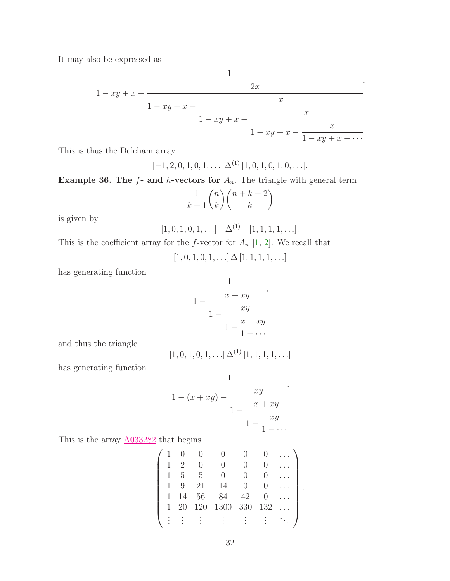It may also be expressed as

$$
\cfrac{1}{1 - xy + x - \cfrac{2x}{1 - xy + x - \cfrac{x}{1 - xy + x - \cfrac{x}{1 - xy + x - \cfrac{x}{1 - xy + x - \cdots}}}}.
$$

.

This is thus the Deleham array

 $[-1, 2, 0, 1, 0, 1, \ldots] \Delta^{(1)} [1, 0, 1, 0, 1, 0, \ldots].$ 

Example 36. The  $f$ - and  $h$ -vectors for  $A_n$ . The triangle with general term

$$
\frac{1}{k+1} \binom{n}{k} \binom{n+k+2}{k}
$$

is given by

$$
[1, 0, 1, 0, 1, \ldots] \quad \Delta^{(1)} \quad [1, 1, 1, 1, \ldots].
$$

This is the coefficient array for the f-vector for  $A_n$  [\[1,](#page-35-9) [2\]](#page-35-10). We recall that

 $[1, 0, 1, 0, 1, \ldots] \Delta [1, 1, 1, 1, \ldots]$ 

has generating function

$$
\cfrac{1}{1-\cfrac{x+xy}{1-\cfrac{xy}{1-\cfrac{x+xy}{1-\cdots}}}},
$$

and thus the triangle

$$
[1, 0, 1, 0, 1, \ldots] \Delta^{(1)} [1, 1, 1, 1, \ldots]
$$

has generating function

$$
\cfrac{1}{1-(x+xy)-\cfrac{xy}{1-\cfrac{x+xy}{1-\cfrac{xy}{1-\cdots}}}}.
$$

This is the array  $\underline{A033282}$  $\underline{A033282}$  $\underline{A033282}$  that begins

|   | Ц  | h   |      |     |     |  |
|---|----|-----|------|-----|-----|--|
|   |    | 21  | 14   |     |     |  |
| 1 | 14 | 56  | 84   | 42  |     |  |
| 1 | 20 | 120 | 1300 | 330 | 132 |  |
|   |    |     |      |     |     |  |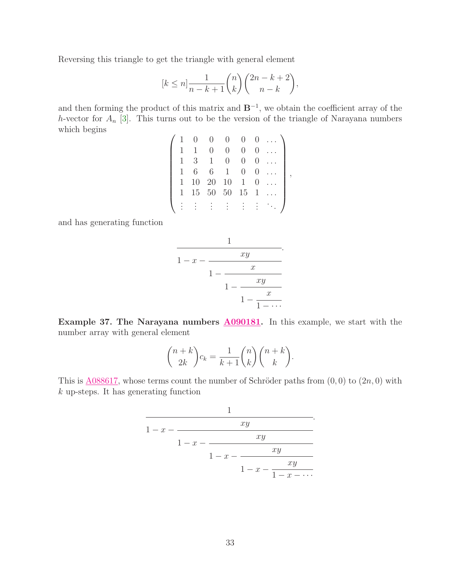Reversing this triangle to get the triangle with general element

$$
[k \le n] \frac{1}{n-k+1} {n \choose k} {2n-k+2 \choose n-k},
$$

and then forming the product of this matrix and  $B^{-1}$ , we obtain the coefficient array of the h-vector for  $A_n$  [\[3\]](#page-35-11). This turns out to be the version of the triangle of Narayana numbers which begins  $\overline{ }$ 

|              |    |              |              | $\overline{0}$   |   |  |
|--------------|----|--------------|--------------|------------------|---|--|
|              |    |              | $\cup$       | $\left( \right)$ |   |  |
| $\mathbf{1}$ | 3  | $\mathbf{1}$ | 0            | 0                |   |  |
| $\mathbf{1}$ | 6  | 6            | $\mathbf{1}$ | U                |   |  |
| $\mathbf{1}$ | 10 | 20           | 10           | $\mathbf{1}$     |   |  |
| $\mathbf{1}$ | 15 |              | 50 50        | 15               | 1 |  |
|              |    |              |              |                  |   |  |
|              |    |              |              |                  |   |  |

and has generating function

$$
\cfrac{1}{1-x-\cfrac{xy}{1-\cfrac{x}{1-\cfrac{xy}{1-\cfrac{x}{1-\cdots}}}}}.
$$

Example 37. The Narayana numbers  $\triangle 090181$ . In this example, we start with the number array with general element

$$
\binom{n+k}{2k}c_k = \frac{1}{k+1}\binom{n}{k}\binom{n+k}{k}.
$$

This is  $\underline{A}088617$ , whose terms count the number of Schröder paths from  $(0,0)$  to  $(2n,0)$  with k up-steps. It has generating function

$$
\cfrac{1}{1-x-\cfrac{xy}{1-x-\cfrac{xy}{1-x-\cfrac{xy}{1-x-\cfrac{xy}{1-x-\cdots}}}}}.
$$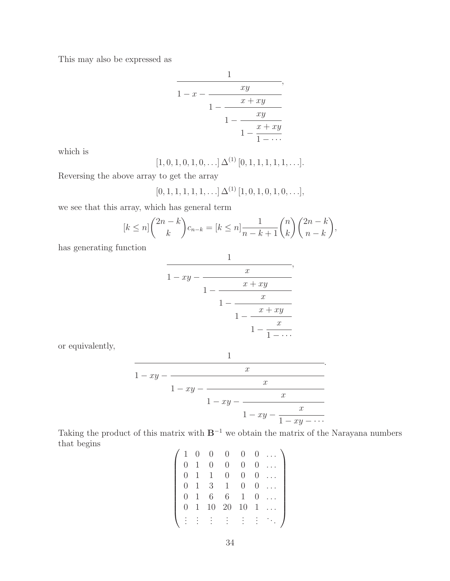This may also be expressed as

$$
\cfrac{1}{1-x-\cfrac{xy}{1-\cfrac{x+xy}{1-\cfrac{xy}{1-\cfrac{x+xy}{1-\cdots}}}}},
$$

which is

$$
[1, 0, 1, 0, 1, 0, \ldots] \, \Delta^{(1)}\, [0, 1, 1, 1, 1, 1, \ldots].
$$

Reversing the above array to get the array

$$
[0, 1, 1, 1, 1, 1, \ldots] \Delta^{(1)} [1, 0, 1, 0, 1, 0, \ldots],
$$

we see that this array, which has general term

$$
[k \le n] \binom{2n-k}{k} c_{n-k} = [k \le n] \frac{1}{n-k+1} \binom{n}{k} \binom{2n-k}{n-k},
$$

has generating function

$$
\cfrac{1}{1 - xy - \cfrac{x}{1 - \cfrac{x + xy}{1 - \cfrac{x}{1 - \cfrac{x}{1 - \cfrac{x}{1 - \cdots}}}}}},
$$

or equivalently,

$$
\cfrac{1}{1 - xy - \cfrac{x}{1 - xy - \cfrac{x}{1 - xy - \cfrac{x}{1 - xy - \cfrac{x}{1 - xy - \cdots}}}}.
$$

Taking the product of this matrix with  $B^{-1}$  we obtain the matrix of the Narayana numbers that begins

| 1                | $\theta$ | 0  | 0                | $\theta$         |   |  |
|------------------|----------|----|------------------|------------------|---|--|
| $\left( \right)$ | 1        | 0  | $\left( \right)$ | 0                | U |  |
| $\theta$         | 1        |    | 0                | $\theta$         | U |  |
| 0                | 1        | 3  | $\mathbf 1$      | $\boldsymbol{0}$ | U |  |
| $\theta$         | 1        | 6  | 6                | 1                | 0 |  |
| O                | 1        | 10 | 20               | 10               | 1 |  |
|                  |          |    |                  |                  |   |  |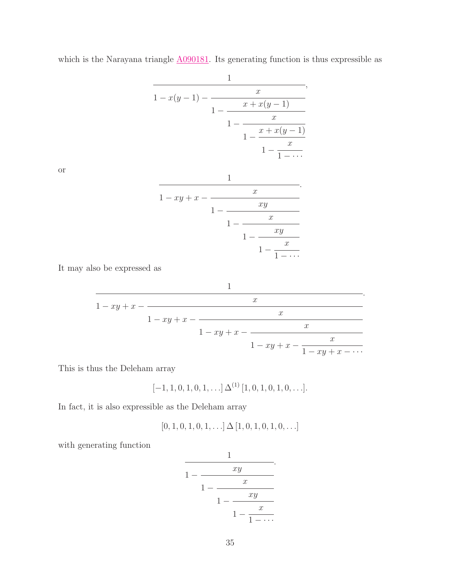$$
\cfrac{1}{1-x(y-1)-\cfrac{x}{1-\cfrac{x+x(y-1)}{1-\cfrac{x}{1-\cfrac{x+x(y-1)}{1-\cfrac{x}{1-\cdots}}}}}},
$$

which is the Narayana triangle  $\underline{A090181}$ . Its generating function is thus expressible as

or

$$
\cfrac{1}{1 - xy + x - \cfrac{x}{1 - \cfrac{xy}{1 - \cfrac{xy}{1 - \cfrac{xy}{1 - \cfrac{x}{1 - \cdots}}}}}}.
$$

It may also be expressed as

$$
\cfrac{1}{1 - xy + x - \cfrac{x}{1 - xy + x - \cfrac{x}{1 - xy + x - \cfrac{x}{1 - xy + x - \cfrac{x}{1 - xy + x - \cdots}}}}.
$$

This is thus the Deleham array

$$
[-1, 1, 0, 1, 0, 1, \ldots] \Delta^{(1)} [1, 0, 1, 0, 1, 0, \ldots].
$$

In fact, it is also expressible as the Deleham array

$$
[0, 1, 0, 1, 0, 1, \ldots] \Delta [1, 0, 1, 0, 1, 0, \ldots]
$$

with generating function

$$
\cfrac{1}{1-\cfrac{xy}{1-\cfrac{x}{1-\cfrac{xy}{1-\cfrac{x}{1-\cdots}}}}}.
$$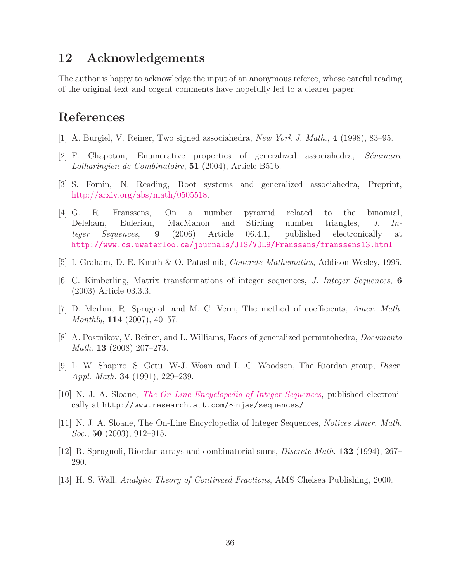### 12 Acknowledgements

The author is happy to acknowledge the input of an anonymous referee, whose careful reading of the original text and cogent comments have hopefully led to a clearer paper.

## <span id="page-35-9"></span>References

- <span id="page-35-10"></span>[1] A. Burgiel, V. Reiner, Two signed associahedra, New York J. Math., 4 (1998), 83–95.
- <span id="page-35-11"></span> $[2]$  F. Chapoton, Enumerative properties of generalized associahedra, Séminaire Lotharingien de Combinatoire, 51 (2004), Article B51b.
- <span id="page-35-8"></span>[3] S. Fomin, N. Reading, Root systems and generalized associahedra, Preprint, [http://arxiv.org/abs/math/0505518.](http://arxiv.org/abs/math/0505518)
- [4] G. R. Franssens, On a number pyramid related to the binomial, Deleham, Eulerian, MacMahon and Stirling number triangles, J. Integer Sequences, 9 (2006) Article 06.4.1, published electronically at <http://www.cs.uwaterloo.ca/journals/JIS/VOL9/Franssens/franssens13.html>
- <span id="page-35-7"></span><span id="page-35-3"></span>[5] I. Graham, D. E. Knuth & O. Patashnik, Concrete Mathematics, Addison-Wesley, 1995.
- <span id="page-35-6"></span>[6] C. Kimberling, Matrix transformations of integer sequences, J. Integer Sequences, 6 (2003) Article 03.3.3.
- <span id="page-35-12"></span>[7] D. Merlini, R. Sprugnoli and M. C. Verri, The method of coefficients, Amer. Math. Monthly, 114 (2007), 40–57.
- [8] A. Postnikov, V. Reiner, and L. Williams, Faces of generalized permutohedra, Documenta Math. 13 (2008) 207–273.
- <span id="page-35-4"></span><span id="page-35-0"></span>[9] L. W. Shapiro, S. Getu, W-J. Woan and L .C. Woodson, The Riordan group, Discr. Appl. Math. 34 (1991), 229–239.
- [10] N. J. A. Sloane, [The On-Line Encyclopedia of Integer Sequences](http://www.research.att.com/~njas/sequences), published electronically at http://www.research.att.com/∼njas/sequences/.
- <span id="page-35-5"></span><span id="page-35-1"></span>[11] N. J. A. Sloane, The On-Line Encyclopedia of Integer Sequences, Notices Amer. Math. *Soc.*, **50** (2003), 912–915.
- <span id="page-35-2"></span>[12] R. Sprugnoli, Riordan arrays and combinatorial sums, Discrete Math. 132 (1994), 267– 290.
- [13] H. S. Wall, Analytic Theory of Continued Fractions, AMS Chelsea Publishing, 2000.